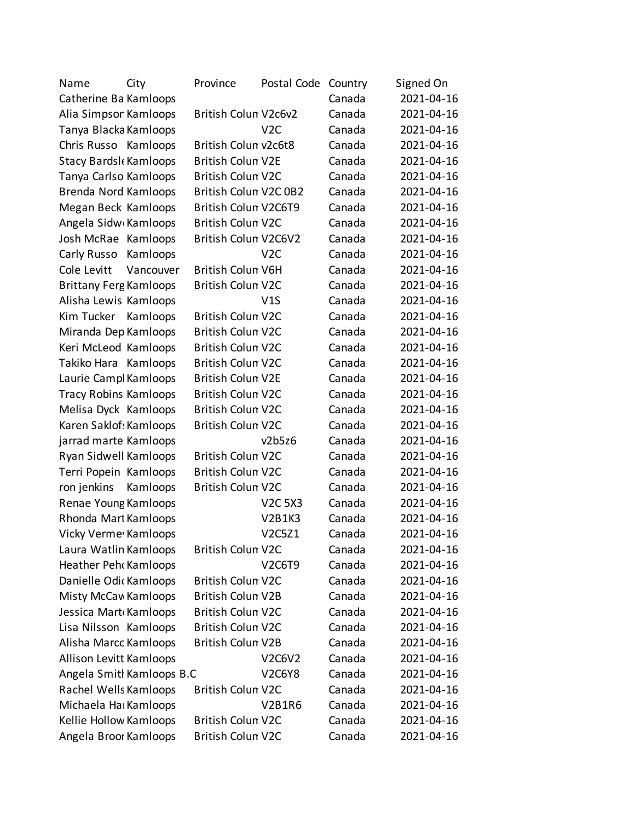| Name                           | City      | Province                 | Postal Code      | Country | Signed On  |
|--------------------------------|-----------|--------------------------|------------------|---------|------------|
| Catherine Ba Kamloops          |           |                          |                  | Canada  | 2021-04-16 |
| Alia Simpsor Kamloops          |           | British Colun V2c6v2     |                  | Canada  | 2021-04-16 |
| Tanya Blacka Kamloops          |           |                          | V <sub>2</sub> C | Canada  | 2021-04-16 |
| Chris Russo Kamloops           |           | British Colun v2c6t8     |                  | Canada  | 2021-04-16 |
| Stacy Bardsk Kamloops          |           | <b>British Colun V2E</b> |                  | Canada  | 2021-04-16 |
| Tanya Carlso Kamloops          |           | <b>British Colun V2C</b> |                  | Canada  | 2021-04-16 |
| Brenda Nord Kamloops           |           | British Colun V2C 0B2    |                  | Canada  | 2021-04-16 |
| Megan Beck Kamloops            |           | British Colun V2C6T9     |                  | Canada  | 2021-04-16 |
| Angela Sidw Kamloops           |           | <b>British Colun V2C</b> |                  | Canada  | 2021-04-16 |
| Josh McRae Kamloops            |           | British Colun V2C6V2     |                  | Canada  | 2021-04-16 |
| Carly Russo                    | Kamloops  |                          | V <sub>2</sub> C | Canada  | 2021-04-16 |
| Cole Levitt                    | Vancouver | <b>British Colun V6H</b> |                  | Canada  | 2021-04-16 |
| <b>Brittany Ferg Kamloops</b>  |           | <b>British Colun V2C</b> |                  | Canada  | 2021-04-16 |
| Alisha Lewis Kamloops          |           |                          | V1S              | Canada  | 2021-04-16 |
| Kim Tucker                     | Kamloops  | <b>British Colun V2C</b> |                  | Canada  | 2021-04-16 |
| Miranda Dep Kamloops           |           | <b>British Colun V2C</b> |                  | Canada  | 2021-04-16 |
| Keri McLeod Kamloops           |           | <b>British Colun V2C</b> |                  | Canada  | 2021-04-16 |
| Takiko Hara                    | Kamloops  | <b>British Colun V2C</b> |                  | Canada  | 2021-04-16 |
| Laurie Campl Kamloops          |           | <b>British Colun V2E</b> |                  | Canada  | 2021-04-16 |
| <b>Tracy Robins Kamloops</b>   |           | <b>British Colun V2C</b> |                  | Canada  | 2021-04-16 |
| Melisa Dyck Kamloops           |           | <b>British Colun V2C</b> |                  | Canada  | 2021-04-16 |
| Karen Saklof: Kamloops         |           | <b>British Colun V2C</b> |                  | Canada  | 2021-04-16 |
| jarrad marte Kamloops          |           |                          | v2b5z6           | Canada  | 2021-04-16 |
| Ryan Sidwell Kamloops          |           | <b>British Colun V2C</b> |                  | Canada  | 2021-04-16 |
| Terri Popein Kamloops          |           | <b>British Colun V2C</b> |                  | Canada  | 2021-04-16 |
| ron jenkins                    | Kamloops  | <b>British Colun V2C</b> |                  | Canada  | 2021-04-16 |
| Renae Young Kamloops           |           |                          | <b>V2C 5X3</b>   | Canada  | 2021-04-16 |
| Rhonda Mart Kamloops           |           |                          | <b>V2B1K3</b>    | Canada  | 2021-04-16 |
| Vicky Verme Kamloops           |           |                          | V2C5Z1           | Canada  | 2021-04-16 |
| Laura Watlin Kamloops          |           | <b>British Colun V2C</b> |                  | Canada  | 2021-04-16 |
| Heather Peh Kamloops           |           |                          | <b>V2C6T9</b>    | Canada  | 2021-04-16 |
| Danielle Odic Kamloops         |           | <b>British Colun V2C</b> |                  | Canada  | 2021-04-16 |
| <b>Misty McCav Kamloops</b>    |           | <b>British Colun V2B</b> |                  | Canada  | 2021-04-16 |
| Jessica Mart Kamloops          |           | <b>British Colun V2C</b> |                  | Canada  | 2021-04-16 |
| Lisa Nilsson Kamloops          |           | <b>British Colun V2C</b> |                  | Canada  | 2021-04-16 |
| Alisha Marcc Kamloops          |           | <b>British Colun V2B</b> |                  | Canada  | 2021-04-16 |
| <b>Allison Levitt Kamloops</b> |           |                          | <b>V2C6V2</b>    | Canada  | 2021-04-16 |
| Angela Smitl Kamloops B.C      |           |                          | <b>V2C6Y8</b>    | Canada  | 2021-04-16 |
| Rachel Wells Kamloops          |           | <b>British Colun V2C</b> |                  | Canada  | 2021-04-16 |
| Michaela Ha Kamloops           |           |                          | <b>V2B1R6</b>    | Canada  | 2021-04-16 |
| Kellie Hollow Kamloops         |           | <b>British Colun V2C</b> |                  | Canada  | 2021-04-16 |
| Angela Broor Kamloops          |           | British Colun V2C        |                  | Canada  | 2021-04-16 |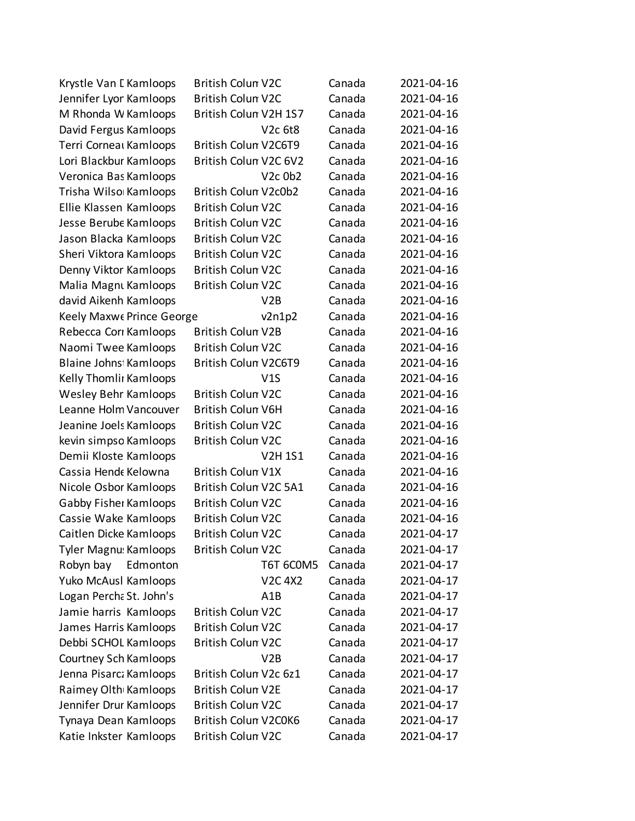| Krystle Van I Kamloops       | <b>British Colun V2C</b> |                                  | Canada | 2021-04-16 |
|------------------------------|--------------------------|----------------------------------|--------|------------|
| Jennifer Lyor Kamloops       | <b>British Colun V2C</b> |                                  | Canada | 2021-04-16 |
| M Rhonda W Kamloops          | British Colun V2H 1S7    |                                  | Canada | 2021-04-16 |
| David Fergus Kamloops        |                          | V <sub>2c</sub> 6t <sub>8</sub>  | Canada | 2021-04-16 |
| Terri Corneal Kamloops       | British Colun V2C6T9     |                                  | Canada | 2021-04-16 |
| Lori Blackbur Kamloops       | British Colun V2C 6V2    |                                  | Canada | 2021-04-16 |
| Veronica Bas Kamloops        |                          | V <sub>2</sub> c 0b <sub>2</sub> | Canada | 2021-04-16 |
| Trisha Wilso Kamloops        | British Colun V2c0b2     |                                  | Canada | 2021-04-16 |
| Ellie Klassen Kamloops       | <b>British Colun V2C</b> |                                  | Canada | 2021-04-16 |
| Jesse Berube Kamloops        | <b>British Colun V2C</b> |                                  | Canada | 2021-04-16 |
| Jason Blacka Kamloops        | <b>British Colun V2C</b> |                                  | Canada | 2021-04-16 |
| Sheri Viktora Kamloops       | <b>British Colun V2C</b> |                                  | Canada | 2021-04-16 |
| Denny Viktor Kamloops        | <b>British Colun V2C</b> |                                  | Canada | 2021-04-16 |
| Malia Magnu Kamloops         | <b>British Colun V2C</b> |                                  | Canada | 2021-04-16 |
| david Aikenh Kamloops        |                          | V2B                              | Canada | 2021-04-16 |
| Keely Maxwe Prince George    |                          | v2n1p2                           | Canada | 2021-04-16 |
| Rebecca Cori Kamloops        | <b>British Colun V2B</b> |                                  | Canada | 2021-04-16 |
| Naomi Twee Kamloops          | <b>British Colun V2C</b> |                                  | Canada | 2021-04-16 |
| Blaine Johns Kamloops        | British Colun V2C6T9     |                                  | Canada | 2021-04-16 |
| Kelly Thomlii Kamloops       |                          | V1S                              | Canada | 2021-04-16 |
| Wesley Behr Kamloops         | <b>British Colun V2C</b> |                                  | Canada | 2021-04-16 |
| Leanne Holm Vancouver        | <b>British Colun V6H</b> |                                  | Canada | 2021-04-16 |
| Jeanine Joels Kamloops       | <b>British Colun V2C</b> |                                  | Canada | 2021-04-16 |
| kevin simpso Kamloops        | <b>British Colun V2C</b> |                                  | Canada | 2021-04-16 |
| Demii Kloste Kamloops        |                          | <b>V2H1S1</b>                    | Canada | 2021-04-16 |
| Cassia Hende Kelowna         | <b>British Colun V1X</b> |                                  | Canada | 2021-04-16 |
| Nicole Osbor Kamloops        | British Colun V2C 5A1    |                                  | Canada | 2021-04-16 |
| Gabby Fisher Kamloops        | <b>British Colun V2C</b> |                                  | Canada | 2021-04-16 |
| Cassie Wake Kamloops         | <b>British Colun V2C</b> |                                  | Canada | 2021-04-16 |
| Caitlen Dicke Kamloops       | <b>British Colun V2C</b> |                                  | Canada | 2021-04-17 |
| Tyler Magnu: Kamloops        | British Colun V2C        |                                  | Canada | 2021-04-17 |
| Robyn bay<br>Edmonton        |                          | <b>T6T 6COM5</b>                 | Canada | 2021-04-17 |
| Yuko McAusl Kamloops         |                          | <b>V2C 4X2</b>                   | Canada | 2021-04-17 |
| Logan Percha St. John's      |                          | A <sub>1</sub> B                 | Canada | 2021-04-17 |
| Jamie harris Kamloops        | <b>British Colun V2C</b> |                                  | Canada | 2021-04-17 |
| James Harris Kamloops        | <b>British Colun V2C</b> |                                  | Canada | 2021-04-17 |
| Debbi SCHOL Kamloops         | <b>British Colun V2C</b> |                                  | Canada | 2021-04-17 |
| <b>Courtney Sch Kamloops</b> |                          | V2B                              | Canada | 2021-04-17 |
| Jenna Pisarcz Kamloops       | British Colun V2c 6z1    |                                  | Canada | 2021-04-17 |
| Raimey Olth Kamloops         | <b>British Colun V2E</b> |                                  | Canada | 2021-04-17 |
| Jennifer Drur Kamloops       | <b>British Colun V2C</b> |                                  | Canada | 2021-04-17 |
| Tynaya Dean Kamloops         | British Colun V2C0K6     |                                  | Canada | 2021-04-17 |
| Katie Inkster Kamloops       | British Colun V2C        |                                  | Canada | 2021-04-17 |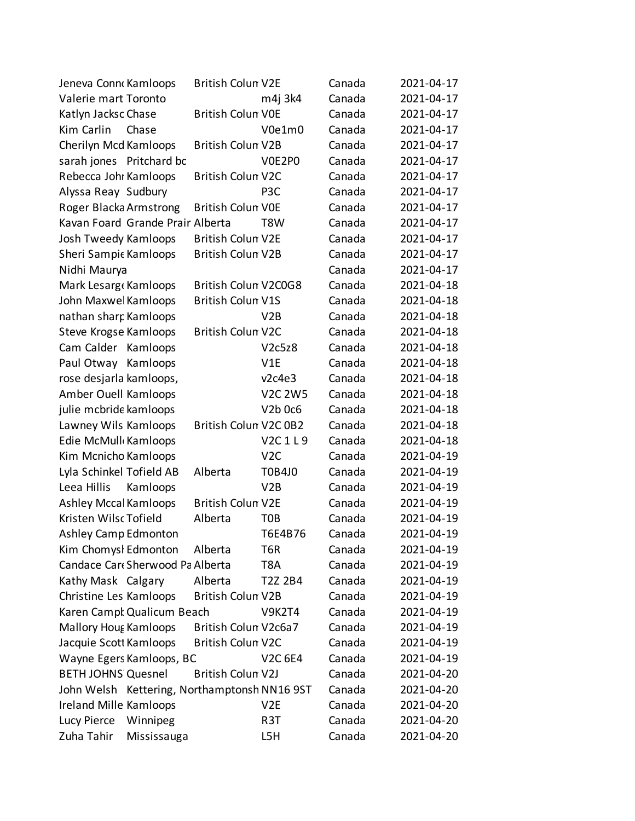| Jeneva Conne Kamloops                        | <b>British Colun V2E</b> |                  | Canada | 2021-04-17 |
|----------------------------------------------|--------------------------|------------------|--------|------------|
| Valerie mart Toronto                         |                          | m4j 3k4          | Canada | 2021-04-17 |
| Katlyn Jacksc Chase                          | <b>British Colun VOE</b> |                  | Canada | 2021-04-17 |
| Kim Carlin<br>Chase                          |                          | V0e1m0           | Canada | 2021-04-17 |
| Cherilyn Mcd Kamloops                        | British Colun V2B        |                  | Canada | 2021-04-17 |
| sarah jones Pritchard bc                     |                          | V0E2P0           | Canada | 2021-04-17 |
| Rebecca Johr Kamloops                        | <b>British Colun V2C</b> |                  | Canada | 2021-04-17 |
| Alyssa Reay Sudbury                          |                          | P <sub>3</sub> C | Canada | 2021-04-17 |
| Roger Blacka Armstrong                       | <b>British Colun VOE</b> |                  | Canada | 2021-04-17 |
| Kavan Foard Grande Prair Alberta             |                          | T8W              | Canada | 2021-04-17 |
| Josh Tweedy Kamloops                         | <b>British Colun V2E</b> |                  | Canada | 2021-04-17 |
| Sheri Sampic Kamloops                        | British Colun V2B        |                  | Canada | 2021-04-17 |
| Nidhi Maurya                                 |                          |                  | Canada | 2021-04-17 |
| Mark Lesarg Kamloops                         | British Colun V2C0G8     |                  | Canada | 2021-04-18 |
| John Maxwel Kamloops                         | <b>British Colun V1S</b> |                  | Canada | 2021-04-18 |
| nathan sharp Kamloops                        |                          | V2B              | Canada | 2021-04-18 |
| <b>Steve Krogse Kamloops</b>                 | <b>British Colun V2C</b> |                  | Canada | 2021-04-18 |
| Cam Calder<br>Kamloops                       |                          | V2c5z8           | Canada | 2021-04-18 |
| Paul Otway<br>Kamloops                       |                          | V1E              | Canada | 2021-04-18 |
| rose desjarla kamloops,                      |                          | v2c4e3           | Canada | 2021-04-18 |
| Amber Ouell Kamloops                         |                          | <b>V2C 2W5</b>   | Canada | 2021-04-18 |
| julie mcbride kamloops                       |                          | V2b 0c6          | Canada | 2021-04-18 |
| Lawney Wils Kamloops                         | British Colun V2C 0B2    |                  | Canada | 2021-04-18 |
| Edie McMull Kamloops                         |                          | V2C1L9           | Canada | 2021-04-18 |
| Kim Mcnicho Kamloops                         |                          | V <sub>2</sub> C | Canada | 2021-04-19 |
| Lyla Schinkel Tofield AB                     | Alberta                  | <b>T0B4J0</b>    | Canada | 2021-04-19 |
| Leea Hillis<br>Kamloops                      |                          | V2B              | Canada | 2021-04-19 |
| <b>Ashley Mccal Kamloops</b>                 | <b>British Colun V2E</b> |                  | Canada | 2021-04-19 |
| Kristen Wilsc Tofield                        | Alberta                  | T <sub>O</sub> B | Canada | 2021-04-19 |
| <b>Ashley Camp Edmonton</b>                  |                          | T6E4B76          | Canada | 2021-04-19 |
| Kim Chomysl Edmonton                         | Alberta                  | T6R              | Canada | 2021-04-19 |
| Candace Car Sherwood Pa Alberta              |                          | T8A              | Canada | 2021-04-19 |
| Kathy Mask Calgary                           | Alberta                  | T2Z 2B4          | Canada | 2021-04-19 |
| Christine Les Kamloops                       | <b>British Colun V2B</b> |                  | Canada | 2021-04-19 |
| Karen Campl Qualicum Beach                   |                          | <b>V9K2T4</b>    | Canada | 2021-04-19 |
| <b>Mallory Hout Kamloops</b>                 | British Colun V2c6a7     |                  | Canada | 2021-04-19 |
| Jacquie Scott Kamloops                       | <b>British Colun V2C</b> |                  | Canada | 2021-04-19 |
| Wayne Egers Kamloops, BC                     |                          | <b>V2C 6E4</b>   | Canada | 2021-04-19 |
| <b>BETH JOHNS Quesnel</b>                    | British Colun V2J        |                  | Canada | 2021-04-20 |
| John Welsh Kettering, Northamptonsh NN16 9ST |                          |                  | Canada | 2021-04-20 |
| Ireland Mille Kamloops                       |                          | V2E              | Canada | 2021-04-20 |
| Lucy Pierce<br>Winnipeg                      |                          | R3T              | Canada | 2021-04-20 |
| Zuha Tahir<br>Mississauga                    |                          | L5H              | Canada | 2021-04-20 |